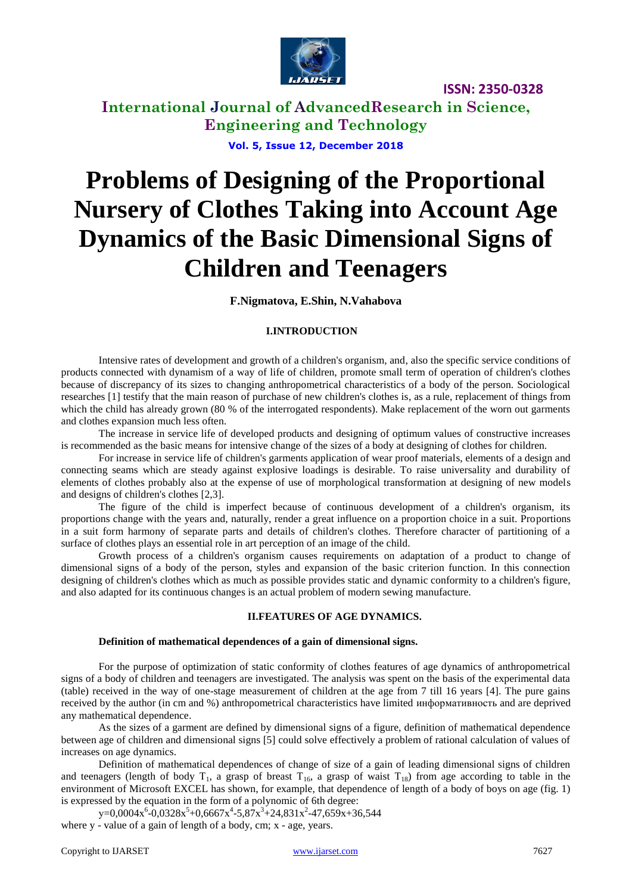

**International Journal of AdvancedResearch in Science, Engineering and Technology**

**Vol. 5, Issue 12, December 2018**

# **Problems of Designing of the Proportional Nursery of Clothes Taking into Account Age Dynamics of the Basic Dimensional Signs of Children and Teenagers**

**F.Nigmatova, E.Shin, N.Vahabova** 

#### **I.INTRODUCTION**

Intensive rates of development and growth of a children's organism, and, also the specific service conditions of products connected with dynamism of a way of life of children, promote small term of operation of children's clothes because of discrepancy of its sizes to changing anthropometrical characteristics of a body of the person. Sociological researches [1] testify that the main reason of purchase of new children's clothes is, as a rule, replacement of things from which the child has already grown (80 % of the interrogated respondents). Make replacement of the worn out garments and clothes expansion much less often.

The increase in service life of developed products and designing of optimum values of constructive increases is recommended as the basic means for intensive change of the sizes of a body at designing of clothes for children.

For increase in service life of children's garments application of wear proof materials, elements of a design and connecting seams which are steady against explosive loadings is desirable. To raise universality and durability of elements of clothes probably also at the expense of use of morphological transformation at designing of new models and designs of children's clothes [2,3].

The figure of the child is imperfect because of continuous development of a children's organism, its proportions change with the years and, naturally, render a great influence on a proportion choice in a suit. Proportions in a suit form harmony of separate parts and details of children's clothes. Therefore character of partitioning of a surface of clothes plays an essential role in art perception of an image of the child.

Growth process of a children's organism causes requirements on adaptation of a product to change of dimensional signs of a body of the person, styles and expansion of the basic criterion function. In this connection designing of children's clothes which as much as possible provides static and dynamic conformity to a children's figure, and also adapted for its continuous changes is an actual problem of modern sewing manufacture.

#### **II.FEATURES OF AGE DYNAMICS.**

#### **Definition of mathematical dependences of a gain of dimensional signs.**

For the purpose of optimization of static conformity of clothes features of age dynamics of anthropometrical signs of a body of children and teenagers are investigated. The analysis was spent on the basis of the experimental data (table) received in the way of one-stage measurement of children at the age from 7 till 16 years [4]. The pure gains received by the author (in cm and %) anthropometrical characteristics have limited информативность and are deprived any mathematical dependence.

As the sizes of a garment are defined by dimensional signs of a figure, definition of mathematical dependence between age of children and dimensional signs [5] could solve effectively a problem of rational calculation of values of increases on age dynamics.

Definition of mathematical dependences of change of size of a gain of leading dimensional signs of children and teenagers (length of body  $T_1$ , a grasp of breast  $T_{16}$ , a grasp of waist  $T_{18}$ ) from age according to table in the environment of Microsoft EXCEL has shown, for example, that dependence of length of a body of boys on age (fig. 1) is expressed by the equation in the form of a polynomic of 6th degree:

 $y=0,0004x^{6} - 0,0328x^{5} + 0,6667x^{4} - 5,87x^{3} + 24,831x^{2} - 47,659x + 36,544$ where y - value of a gain of length of a body, cm; x - age, years.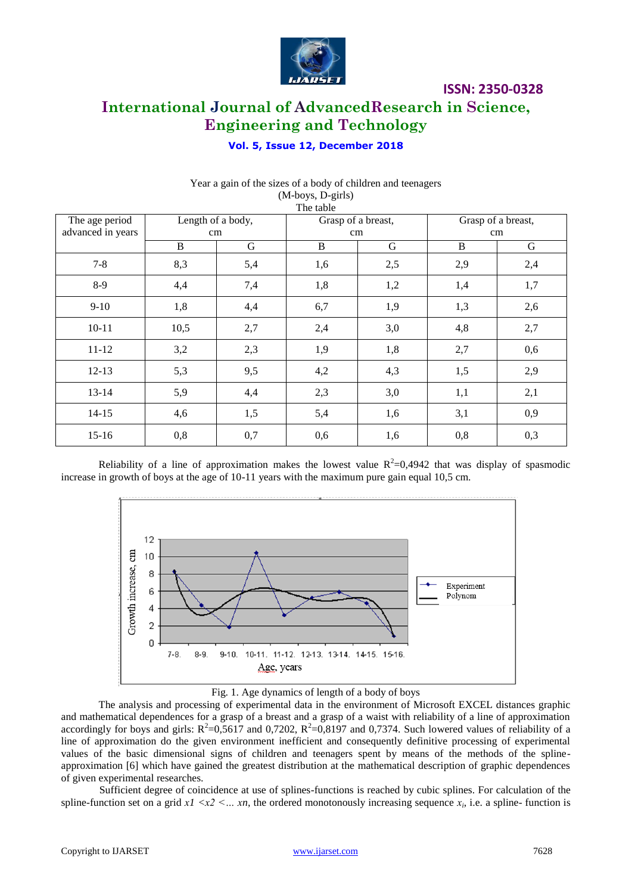

# **International Journal of AdvancedResearch in Science, Engineering and Technology**

### **Vol. 5, Issue 12, December 2018**

|                   |                   |     | $(1)$ v $(0)$ $(0)$ $(0)$ $(0)$ $(0)$<br>The table |     |                    |     |
|-------------------|-------------------|-----|----------------------------------------------------|-----|--------------------|-----|
| The age period    | Length of a body, |     | Grasp of a breast,                                 |     | Grasp of a breast, |     |
| advanced in years |                   | cm  | cm                                                 |     | cm                 |     |
|                   | B                 | G   | B                                                  | G   | B                  | G   |
| $7 - 8$           | 8,3               | 5,4 | 1,6                                                | 2,5 | 2,9                | 2,4 |
| $8-9$             | 4,4               | 7,4 | 1,8                                                | 1,2 | 1,4                | 1,7 |
| $9-10$            | 1,8               | 4,4 | 6,7                                                | 1,9 | 1,3                | 2,6 |
| $10 - 11$         | 10,5              | 2,7 | 2,4                                                | 3,0 | 4,8                | 2,7 |
| $11 - 12$         | 3,2               | 2,3 | 1,9                                                | 1,8 | 2,7                | 0,6 |
| $12 - 13$         | 5,3               | 9,5 | 4,2                                                | 4,3 | 1,5                | 2,9 |
| $13 - 14$         | 5,9               | 4,4 | 2,3                                                | 3,0 | 1,1                | 2,1 |
| $14 - 15$         | 4,6               | 1,5 | 5,4                                                | 1,6 | 3,1                | 0,9 |
| $15-16$           | 0,8               | 0,7 | 0,6                                                | 1,6 | 0,8                | 0,3 |

#### Year a gain of the sizes of a body of children and teenagers  $(M_{\text{-}}$ hoys,  $D_{\text{-}}$ girls)

Reliability of a line of approximation makes the lowest value  $R^2=0,4942$  that was display of spasmodic increase in growth of boys at the age of 10-11 years with the maximum pure gain equal 10,5 cm.



Fig. 1. Age dynamics of length of a body of boys

The analysis and processing of experimental data in the environment of Microsoft EXCEL distances graphic and mathematical dependences for a grasp of a breast and a grasp of a waist with reliability of a line of approximation accordingly for boys and girls:  $R^2=0.5617$  and 0,7202,  $R^2=0.8197$  and 0,7374. Such lowered values of reliability of a line of approximation do the given environment inefficient and consequently definitive processing of experimental values of the basic dimensional signs of children and teenagers spent by means of the methods of the splineapproximation [6] which have gained the greatest distribution at the mathematical description of graphic dependences of given experimental researches.

Sufficient degree of coincidence at use of splines-functions is reached by cubic splines. For calculation of the spline-function set on a grid  $x1 < x2 < ... xn$ , the ordered monotonously increasing sequence  $x_i$ , i.e. a spline-function is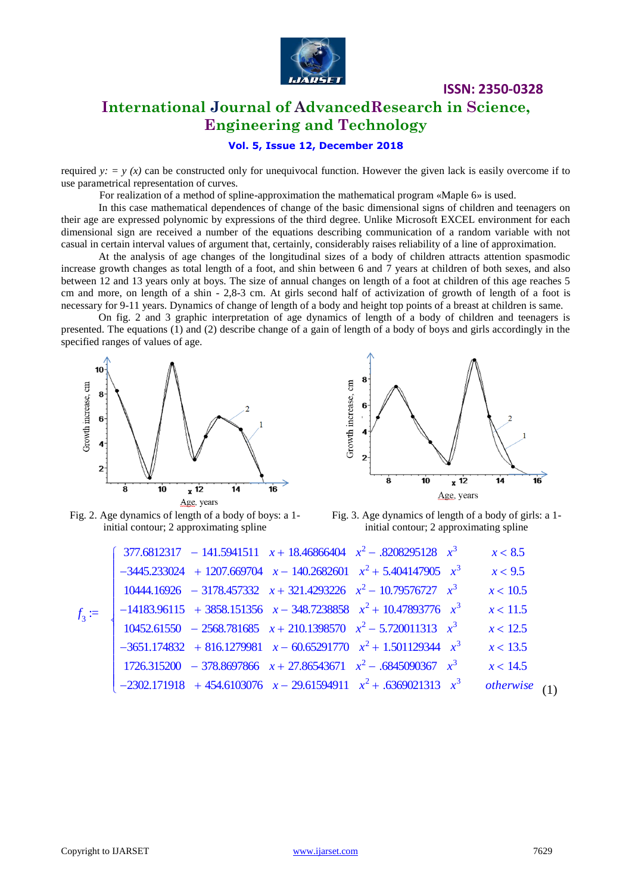

# **International Journal of AdvancedResearch in Science, Engineering and Technology**

#### **Vol. 5, Issue 12, December 2018**

required  $y: = y(x)$  can be constructed only for unequivocal function. However the given lack is easily overcome if to use parametrical representation of curves.

For realization of a method of spline-approximation the mathematical program «Maple 6» is used.

In this case mathematical dependences of change of the basic dimensional signs of children and teenagers on their age are expressed polynomic by expressions of the third degree. Unlike Microsoft EXCEL environment for each dimensional sign are received a number of the equations describing communication of a random variable with not casual in certain interval values of argument that, certainly, considerably raises reliability of a line of approximation.

At the analysis of age changes of the longitudinal sizes of a body of children attracts attention spasmodic increase growth changes as total length of a foot, and shin between 6 and 7 years at children of both sexes, and also between 12 and 13 years only at boys. The size of annual changes on length of a foot at children of this age reaches 5 cm and more, on length of a shin - 2,8-3 cm. At girls second half of activization of growth of length of a foot is necessary for 9-11 years. Dynamics of change of length of a body and height top points of a breast at children is same.

On fig. 2 and 3 graphic interpretation of age dynamics of length of a body of children and teenagers is presented. The equations (1) and (2) describe change of a gain of length of a body of boys and girls accordingly in the specified ranges of values of age.





**ISSN: 2350-0328**

Fig. 2. Age dynamics of length of a body of boys: a 1 initial contour; 2 approximating spline

Fig. 3. Age dynamics of length of a body of girls: a 1 initial contour; 2 approximating spline

|            | $377.6812317 - 141.5941511$ $x + 18.46866404$ $x^2 - .8208295128$ $x^3$  |  | x < 8.5   |  |
|------------|--------------------------------------------------------------------------|--|-----------|--|
|            | $-3445.233024 + 1207.669704$ $x - 140.2682601$ $x^2 + 5.404147905$ $x^3$ |  | x < 9.5   |  |
|            | $10444.16926 - 3178.457332$ $x + 321.4293226$ $x^2 - 10.79576727$ $x^3$  |  | x < 10.5  |  |
| $f_{3}$ := | $-14183.96115 + 3858.151356$ $x - 348.7238858$ $x^2 + 10.47893776$ $x^3$ |  | x < 11.5  |  |
|            | $10452.61550 - 2568.781685$ $x + 210.1398570$ $x^2 - 5.720011313$ $x^3$  |  | x < 12.5  |  |
|            | $-3651.174832 + 816.1279981$ $x - 60.65291770$ $x^2 + 1.501129344$ $x^3$ |  | x < 13.5  |  |
|            | $1726.315200 - 378.8697866 x + 27.86543671 x^2 - .6845090367 x^3$        |  | x < 14.5  |  |
|            | $-2302.171918$ + 454.6103076 $x - 29.61594911$ $x^2$ + .6369021313 $x^3$ |  | otherwise |  |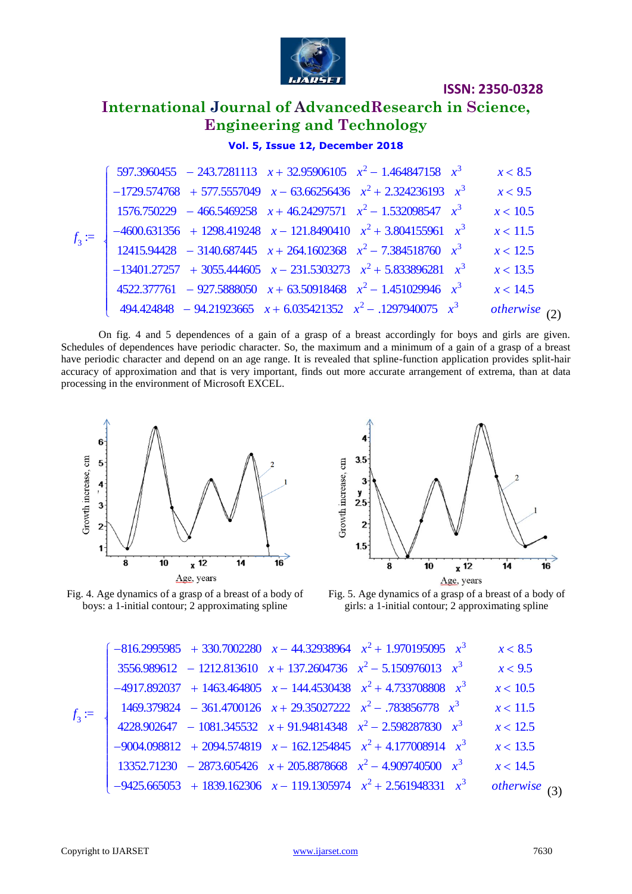

# **International Journal of AdvancedResearch in Science, Engineering and Technology**

## **Vol. 5, Issue 12, December 2018**

|         | 597.3960455 - 243.7281113 $x + 32.95906105$ $x^2 - 1.464847158$ $x^3$    | x < 8.5   |
|---------|--------------------------------------------------------------------------|-----------|
|         | $-1729.574768$ + 577.5557049 $x - 63.66256436$ $x^2 + 2.324236193$ $x^3$ | x < 9.5   |
|         | $1576.750229 - 466.5469258$ $x + 46.24297571$ $x^2 - 1.532098547$ $x^3$  | x < 10.5  |
| $f_{3}$ | $-4600.631356 + 1298.419248$ $x - 121.8490410$ $x^2 + 3.804155961$ $x^3$ | x < 11.5  |
|         | 12415.94428 - 3140.687445 $x + 264.1602368$ $x^2 - 7.384518760$ $x^3$    | x < 12.5  |
|         | $-13401.27257 + 3055.444605$ $x - 231.5303273$ $x^2 + 5.833896281$ $x^3$ | x < 13.5  |
|         | $4522.377761 - 927.5888050$ $x + 63.50918468$ $x^2 - 1.451029946$ $x^3$  | x < 14.5  |
|         | $494.424848 - 94.21923665$ $x + 6.035421352$ $x^2 - .1297940075$ $x^3$   | otherwise |
|         |                                                                          |           |

On fig. 4 and 5 dependences of a gain of a grasp of a breast accordingly for boys and girls are given. Schedules of dependences have periodic character. So, the maximum and a minimum of a gain of a grasp of a breast have periodic character and depend on an age range. It is revealed that spline-function application provides split-hair accuracy of approximation and that is very important, finds out more accurate arrangement of extrema, than at data processing in the environment of Microsoft EXCEL.







Fig. 5. Age dynamics of a grasp of a breast of a body of girls: a 1-initial contour; 2 approximating spline

|            |  | $-816.2995985 + 330.7002280$ $x - 44.32938964$ $x^2 + 1.970195095$ $x^3$ | x < 8.5         |
|------------|--|--------------------------------------------------------------------------|-----------------|
|            |  | $3556.989612 - 1212.813610 + 137.2604736 + x^2 - 5.150976013 + x^3$      | x < 9.5         |
|            |  | $-4917.892037 + 1463.464805$ $x - 144.4530438$ $x^2 + 4.733708808$ $x^3$ | x < 10.5        |
| $f_{3}$ := |  | $1469.379824 - 361.4700126$ $x + 29.35027222$ $x^2 - .783856778$ $x^3$   | x < 11.5        |
|            |  | $4228.902647 - 1081.345532 + 91.94814348 + x^2 - 2.598287830 + x^3$      | x < 12.5        |
|            |  | $-9004.098812 + 2094.574819$ $x - 162.1254845$ $x^2 + 4.177008914$ $x^3$ | x < 13.5        |
|            |  | $13352.71230 - 2873.605426$ $x + 205.8878668$ $x^2 - 4.909740500$ $x^3$  | x < 14.5        |
|            |  | $-9425.665053 + 1839.162306$ $x - 119.1305974$ $x^2 + 2.561948331$ $x^3$ | otherwise $(3)$ |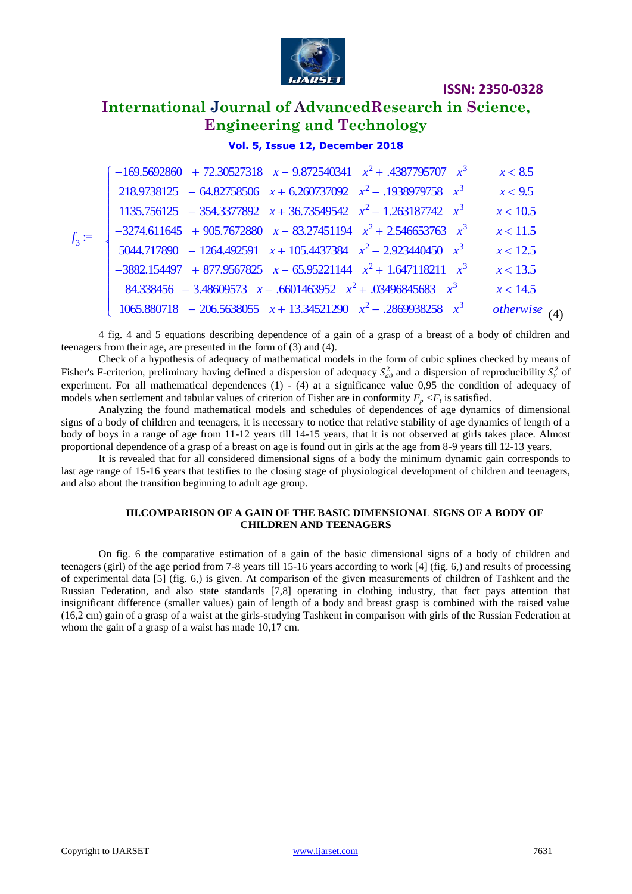

# **International Journal of AdvancedResearch in Science, Engineering and Technology**

### **Vol. 5, Issue 12, December 2018**

|                 | $-169.5692860 + 72.30527318$ $x - 9.872540341$ $x^2 + .4387795707$ $x^3$ | x < 8.5         |
|-----------------|--------------------------------------------------------------------------|-----------------|
|                 | $218.9738125 - 64.82758506$ $x + 6.260737092$ $x^2 - .1938979758$ $x^3$  | x < 9.5         |
|                 | $1135.756125 - 354.3377892$ $x + 36.73549542$ $x^2 - 1.263187742$ $x^3$  | x < 10.5        |
| $f_3 \coloneqq$ | $-3274.611645 + 905.7672880$ $x - 83.27451194$ $x^2 + 2.546653763$ $x^3$ | x < 11.5        |
|                 | $5044.717890 - 1264.492591$ $x + 105.4437384$ $x^2 - 2.923440450$ $x^3$  | x < 12.5        |
|                 | $-3882.154497 + 877.9567825$ $x - 65.95221144$ $x^2 + 1.647118211$ $x^3$ | x < 13.5        |
|                 | 84.338456 - 3.48609573 $x - .6601463952$ $x^2 + .03496845683$ $x^3$      | x < 14.5        |
|                 | $1065.880718 - 206.5638055$ $x + 13.34521290$ $x^2 - .2869938258$ $x^3$  | otherwise $(4)$ |

4 fig. 4 and 5 equations describing dependence of a gain of a grasp of a breast of a body of children and teenagers from their age, are presented in the form of (3) and (4).

Check of a hypothesis of adequacy of mathematical models in the form of cubic splines checked by means of Fisher's F-criterion, preliminary having defined a dispersion of adequacy  $S_{a\partial}^2$  and a dispersion of reproducibility  $S_y^2$  of experiment. For all mathematical dependences (1) - (4) at a significance value 0,95 the condition of adequacy of models when settlement and tabular values of criterion of Fisher are in conformity  $F_p \lt F_t$  is satisfied.

Analyzing the found mathematical models and schedules of dependences of age dynamics of dimensional signs of a body of children and teenagers, it is necessary to notice that relative stability of age dynamics of length of a body of boys in a range of age from 11-12 years till 14-15 years, that it is not observed at girls takes place. Almost proportional dependence of a grasp of a breast on age is found out in girls at the age from 8-9 years till 12-13 years.

It is revealed that for all considered dimensional signs of a body the minimum dynamic gain corresponds to last age range of 15-16 years that testifies to the closing stage of physiological development of children and teenagers, and also about the transition beginning to adult age group.

#### **III.COMPARISON OF A GAIN OF THE BASIC DIMENSIONAL SIGNS OF A BODY OF CHILDREN AND TEENAGERS**

On fig. 6 the comparative estimation of a gain of the basic dimensional signs of a body of children and teenagers (girl) of the age period from 7-8 years till 15-16 years according to work [4] (fig. 6,) and results of processing of experimental data [5] (fig. 6,) is given. At comparison of the given measurements of children of Tashkent and the Russian Federation, and also state standards [7,8] operating in clothing industry, that fact pays attention that insignificant difference (smaller values) gain of length of a body and breast grasp is combined with the raised value (16,2 cm) gain of a grasp of a waist at the girls-studying Tashkent in comparison with girls of the Russian Federation at whom the gain of a grasp of a waist has made 10,17 cm.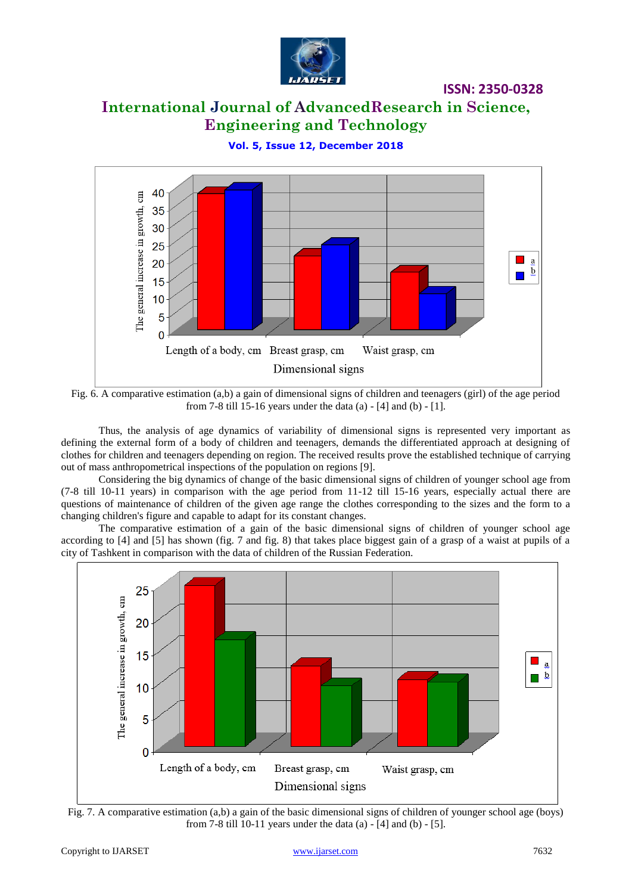

# **International Journal of AdvancedResearch in Science, Engineering and Technology**

**Vol. 5, Issue 12, December 2018**



Fig. 6. A comparative estimation (a,b) a gain of dimensional signs of children and teenagers (girl) of the age period from 7-8 till 15-16 years under the data (a) - [4] and (b) - [1].

Thus, the analysis of age dynamics of variability of dimensional signs is represented very important as defining the external form of a body of children and teenagers, demands the differentiated approach at designing of clothes for children and teenagers depending on region. The received results prove the established technique of carrying out of mass anthropometrical inspections of the population on regions [9].

Considering the big dynamics of change of the basic dimensional signs of children of younger school age from (7-8 till 10-11 years) in comparison with the age period from 11-12 till 15-16 years, especially actual there are questions of maintenance of children of the given age range the clothes corresponding to the sizes and the form to a changing children's figure and capable to adapt for its constant changes.

The comparative estimation of a gain of the basic dimensional signs of children of younger school age according to [4] and [5] has shown (fig. 7 and fig. 8) that takes place biggest gain of a grasp of a waist at pupils of a city of Tashkent in comparison with the data of children of the Russian Federation.



Fig. 7. A comparative estimation (a,b) a gain of the basic dimensional signs of children of younger school age (boys) from 7-8 till 10-11 years under the data (a) - [4] and (b) - [5].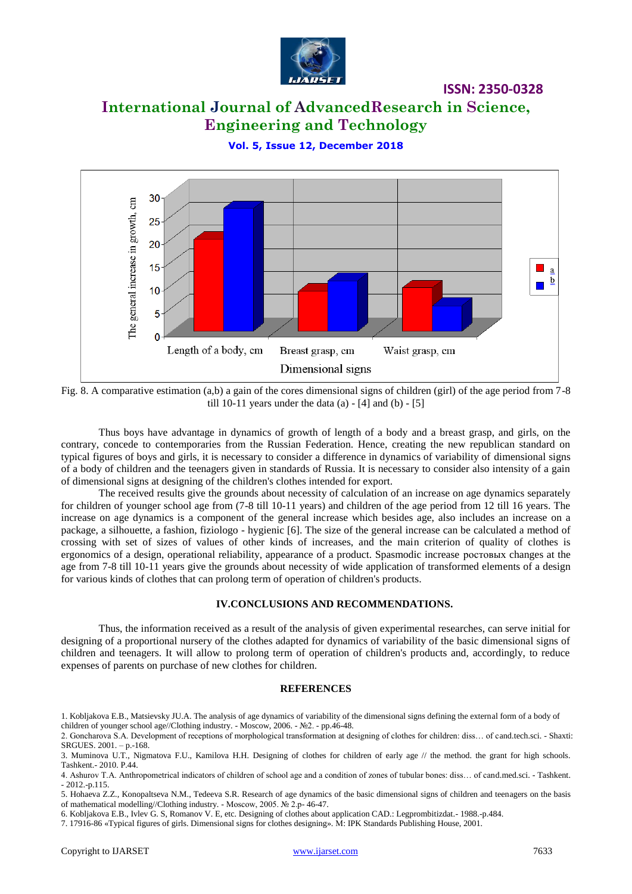

# **International Journal of AdvancedResearch in Science, Engineering and Technology**

**Vol. 5, Issue 12, December 2018**



Fig. 8. A comparative estimation (a,b) a gain of the cores dimensional signs of children (girl) of the age period from 7-8 till 10-11 years under the data  $(a)$  - [4] and  $(b)$  - [5]

Thus boys have advantage in dynamics of growth of length of a body and a breast grasp, and girls, on the contrary, concede to contemporaries from the Russian Federation. Hence, creating the new republican standard on typical figures of boys and girls, it is necessary to consider a difference in dynamics of variability of dimensional signs of a body of children and the teenagers given in standards of Russia. It is necessary to consider also intensity of a gain of dimensional signs at designing of the children's clothes intended for export.

The received results give the grounds about necessity of calculation of an increase on age dynamics separately for children of younger school age from (7-8 till 10-11 years) and children of the age period from 12 till 16 years. The increase on age dynamics is a component of the general increase which besides age, also includes an increase on a package, a silhouette, a fashion, fiziologo - hygienic [6]. The size of the general increase can be calculated a method of crossing with set of sizes of values of other kinds of increases, and the main criterion of quality of clothes is ergonomics of a design, operational reliability, appearance of a product. Spasmodic increase ростовых changes at the age from 7-8 till 10-11 years give the grounds about necessity of wide application of transformed elements of a design for various kinds of clothes that can prolong term of operation of children's products.

#### **IV.CONCLUSIONS AND RECOMMENDATIONS.**

Thus, the information received as a result of the analysis of given experimental researches, can serve initial for designing of a proportional nursery of the clothes adapted for dynamics of variability of the basic dimensional signs of children and teenagers. It will allow to prolong term of operation of children's products and, accordingly, to reduce expenses of parents on purchase of new clothes for children.

#### **REFERENCES**

<sup>1.</sup> Kobljakova E.B., Matsievsky JU.A. The analysis of age dynamics of variability of the dimensional signs defining the external form of a body of children of younger school age//Clothing industry. - Moscow, 2006. - №2. - pp.46-48.

<sup>2.</sup> Goncharova S.A. Development of receptions of morphological transformation at designing of clothes for children: diss… of cand.tech.sci. - Shaxti: SRGUES. 2001. – p.-168.

<sup>3.</sup> Muminova U.T., Nigmatova F.U., Kamilova H.H. Designing of clothes for children of early age // the method. the grant for high schools. Tashkent.- 2010. P.44.

<sup>4.</sup> Ashurov T.A. Anthropometrical indicators of children of school age and a condition of zones of tubular bones: diss… of cand.med.sci. - Tashkent. - 2012.-p.115.

<sup>5.</sup> Hohaeva Z.Z., Konopaltseva N.M., Tedeeva S.R. Research of age dynamics of the basic dimensional signs of children and teenagers on the basis of mathematical modelling//Clothing industry. - Moscow, 2005. № 2.p- 46-47.

<sup>6.</sup> Kobljakova E.B., Ivlev G. S, Romanov V. E, etc. Designing of clothes about application CAD.: Legprombitizdat.- 1988.-p.484.

<sup>7. 17916-86 «</sup>Typical figures of girls. Dimensional signs for clothes designing». М: IPK Standards Publishing House, 2001.